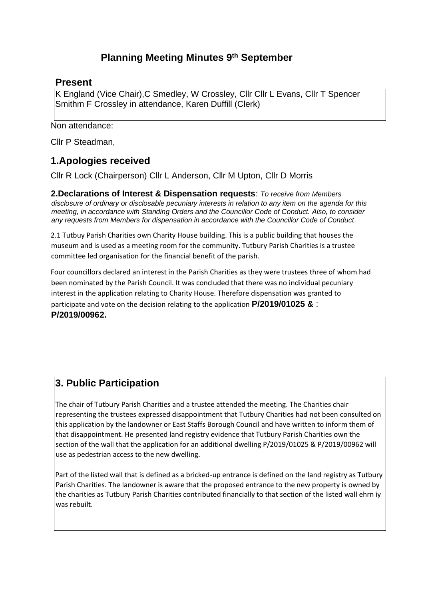# **Planning Meeting Minutes 9 th September**

### **Present**

K England (Vice Chair),C Smedley, W Crossley, Cllr Cllr L Evans, Cllr T Spencer Smithm F Crossley in attendance, Karen Duffill (Clerk)

Non attendance:

Cllr P Steadman,

## **1.Apologies received**

Cllr R Lock (Chairperson) Cllr L Anderson, Cllr M Upton, Cllr D Morris

**2.Declarations of Interest & Dispensation requests**: *To receive from Members disclosure of ordinary or disclosable pecuniary interests in relation to any item on the agenda for this meeting, in accordance with Standing Orders and the Councillor Code of Conduct. Also, to consider any requests from Members for dispensation in accordance with the Councillor Code of Conduct*.

2.1 Tutbuy Parish Charities own Charity House building. This is a public building that houses the museum and is used as a meeting room for the community. Tutbury Parish Charities is a trustee committee led organisation for the financial benefit of the parish.

Four councillors declared an interest in the Parish Charities as they were trustees three of whom had been nominated by the Parish Council. It was concluded that there was no individual pecuniary interest in the application relating to Charity House. Therefore dispensation was granted to participate and vote on the decision relating to the application **P/2019/01025 &** : **P/2019/00962.** 

# **3. Public Participation**

The chair of Tutbury Parish Charities and a trustee attended the meeting. The Charities chair representing the trustees expressed disappointment that Tutbury Charities had not been consulted on this application by the landowner or East Staffs Borough Council and have written to inform them of that disappointment. He presented land registry evidence that Tutbury Parish Charities own the section of the wall that the application for an additional dwelling P/2019/01025 & P/2019/00962 will use as pedestrian access to the new dwelling.

Part of the listed wall that is defined as a bricked-up entrance is defined on the land registry as Tutbury Parish Charities. The landowner is aware that the proposed entrance to the new property is owned by the charities as Tutbury Parish Charities contributed financially to that section of the listed wall ehrn iy was rebuilt.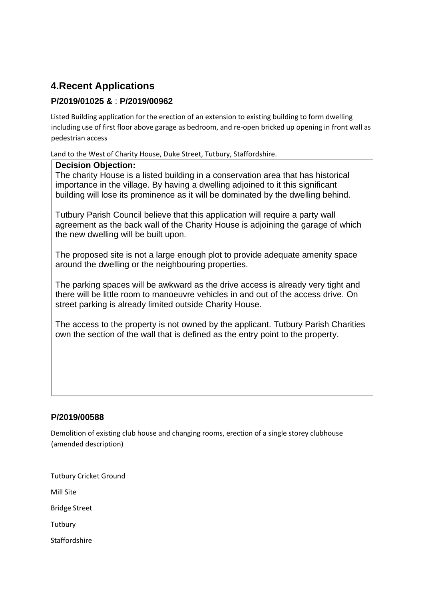# **4.Recent Applications**

### **P/2019/01025 &** : **P/2019/00962**

Listed Building application for the erection of an extension to existing building to form dwelling including use of first floor above garage as bedroom, and re-open bricked up opening in front wall as pedestrian access

Land to the West of Charity House, Duke Street, Tutbury, Staffordshire.

#### **Decision Objection:**

The charity House is a listed building in a conservation area that has historical importance in the village. By having a dwelling adjoined to it this significant building will lose its prominence as it will be dominated by the dwelling behind.

Tutbury Parish Council believe that this application will require a party wall agreement as the back wall of the Charity House is adjoining the garage of which the new dwelling will be built upon.

The proposed site is not a large enough plot to provide adequate amenity space around the dwelling or the neighbouring properties.

The parking spaces will be awkward as the drive access is already very tight and there will be little room to manoeuvre vehicles in and out of the access drive. On street parking is already limited outside Charity House.

The access to the property is not owned by the applicant. Tutbury Parish Charities own the section of the wall that is defined as the entry point to the property.

### **P/2019/00588**

Demolition of existing club house and changing rooms, erection of a single storey clubhouse (amended description)

Tutbury Cricket Ground

Mill Site

Bridge Street

**Tutbury** 

Staffordshire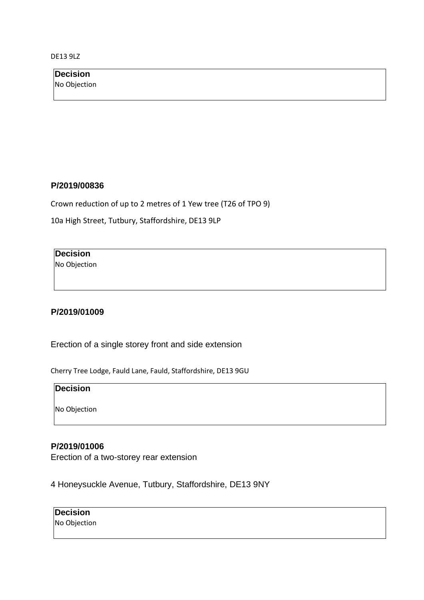DE13 9LZ

| Decision     |
|--------------|
| No Objection |
|              |

#### **P/2019/00836**

Crown reduction of up to 2 metres of 1 Yew tree (T26 of TPO 9)

10a High Street, Tutbury, Staffordshire, DE13 9LP

### **Decision**

No Objection

#### **P/2019/01009**

Erection of a single storey front and side extension

Cherry Tree Lodge, Fauld Lane, Fauld, Staffordshire, DE13 9GU

#### **Decision**

No Objection

#### **P/2019/01006**

Erection of a two-storey rear extension

4 Honeysuckle Avenue, Tutbury, Staffordshire, DE13 9NY

**Decision**  No Objection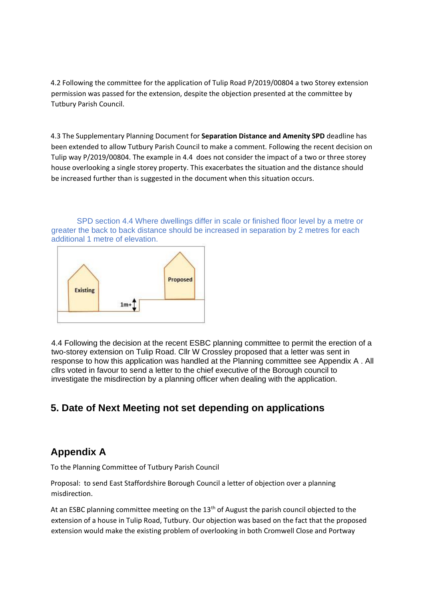4.2 Following the committee for the application of Tulip Road P/2019/00804 a two Storey extension permission was passed for the extension, despite the objection presented at the committee by Tutbury Parish Council.

4.3 The Supplementary Planning Document for **Separation Distance and Amenity SPD** deadline has been extended to allow Tutbury Parish Council to make a comment. Following the recent decision on Tulip way P/2019/00804. The example in 4.4 does not consider the impact of a two or three storey house overlooking a single storey property. This exacerbates the situation and the distance should be increased further than is suggested in the document when this situation occurs.

SPD section 4.4 Where dwellings differ in scale or finished floor level by a metre or greater the back to back distance should be increased in separation by 2 metres for each additional 1 metre of elevation.



4.4 Following the decision at the recent ESBC planning committee to permit the erection of a two-storey extension on Tulip Road. Cllr W Crossley proposed that a letter was sent in response to how this application was handled at the Planning committee see Appendix A . All cllrs voted in favour to send a letter to the chief executive of the Borough council to investigate the misdirection by a planning officer when dealing with the application.

# **5. Date of Next Meeting not set depending on applications**

## **Appendix A**

To the Planning Committee of Tutbury Parish Council

Proposal: to send East Staffordshire Borough Council a letter of objection over a planning misdirection.

At an ESBC planning committee meeting on the  $13<sup>th</sup>$  of August the parish council objected to the extension of a house in Tulip Road, Tutbury. Our objection was based on the fact that the proposed extension would make the existing problem of overlooking in both Cromwell Close and Portway